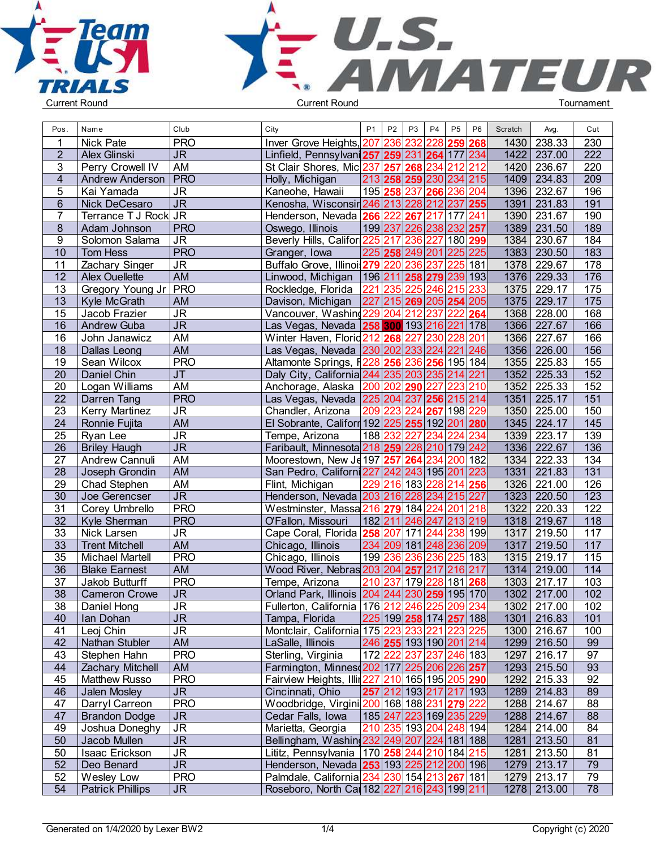



| Pos.            | Name                    | Club                              | City                                            | P <sub>1</sub> | P <sub>2</sub> | P <sub>3</sub> | P <sub>4</sub><br>P <sub>5</sub>          | P <sub>6</sub> | Scratch | Avg.        | Cut              |  |
|-----------------|-------------------------|-----------------------------------|-------------------------------------------------|----------------|----------------|----------------|-------------------------------------------|----------------|---------|-------------|------------------|--|
|                 | <b>Nick Pate</b>        | <b>PRO</b>                        | Inver Grove Heights,                            |                | 207 236        | 232            | 259<br>228                                | 268            | 1430    | 238.33      | 230              |  |
| $\overline{2}$  | Alex Glinski            | <b>JR</b>                         | Linfield, Pennsylvani 257 259                   |                |                | 231            | 264<br>177                                | 234            | 1422    | 237.00      | 222              |  |
| 3               | Perry Crowell IV        | AM                                | St Clair Shores, Mic 237 257                    |                |                | 268            | 234<br>212                                | 212            |         | 1420 236.67 | 220              |  |
| 4               | <b>Andrew Anderson</b>  | $ $ PRO                           | Holly, Michigan                                 |                |                |                | 213 258 259 230 234 215                   |                |         | 1409 234.83 | $\overline{209}$ |  |
| 5               | Kai Yamada              | $\overline{\mathsf{J}\mathsf{R}}$ | Kaneohe, Hawaii                                 | 195 258        |                | 237            | 236<br>266                                | 204            | 1396    | 232.67      | 196              |  |
| 6               | Nick DeCesaro           | $\overline{\mathsf{J}\mathsf{R}}$ | Kenosha, Wisconsir 246 213                      |                |                | 228            | 212                                       | 237 255        | 1391    | 231.83      | 191              |  |
| $\overline{7}$  | Terrance T J Rock JR    |                                   | Henderson, Nevada 266                           |                | 222            | 267            | 177<br>217                                | 241            |         | 1390 231.67 | 190              |  |
| 8               | Adam Johnson            | <b>PRO</b>                        | Oswego, Illinois                                | 199 237        |                | 226            | 238 232                                   | 257            |         | 1389 231.50 | 189              |  |
| 9               | Solomon Salama          | $\overline{\mathsf{J}\mathsf{R}}$ | Beverly Hills, Califor 225                      |                | 217            | 236            | 227                                       | 180 299        |         | 1384 230.67 | 184              |  |
| 10              | Tom Hess                | <b>PRO</b>                        | Granger, Iowa                                   | 225 258        |                | 249            | 225<br>201                                | 225            |         | 1383 230.50 | 183              |  |
| 11              | Zachary Singer          | <b>JR</b>                         | Buffalo Grove, Illinoi 279                      |                | 220            | 236            | $\overline{225}$<br>237                   | 181            | 1378    | 229.67      | 178              |  |
| 12              | <b>Alex Ouellette</b>   | AM                                | Linwood, Michigan                               | 196 211        |                | 258            | 239<br>279                                | 193            |         | 1376 229.33 | 176              |  |
| 13              |                         | PRO                               | Rockledge, Florida                              | 221            |                | 225            | 246<br>215                                | 233            | 1375    | 229.17      | 175              |  |
| 13              | Gregory Young Jr        | AM                                | Davison, Michigan                               |                | 235<br>227 215 | 269            | 205 254                                   | 205            | 1375    | 229.17      | $\overline{175}$ |  |
| 15              | Kyle McGrath            | $\overline{\mathsf{J}\mathsf{R}}$ | Vancouver, Washind 229                          |                | 204            |                | 222<br>237                                |                | 1368    | 228.00      | 168              |  |
|                 | Jacob Frazier           |                                   |                                                 |                |                | 212            |                                           | 264            |         |             |                  |  |
| 16              | <b>Andrew Guba</b>      | J <sub>R</sub>                    | Las Vegas, Nevada 258 300 193 216               |                |                |                |                                           | 221 178        | 1366    | 227.67      | 166              |  |
| 16              | John Janawicz           | AM                                | Winter Haven, Florid 212 268                    |                |                | 227            | 228<br>230                                | 201            |         | 1366 227.67 | 166              |  |
| 18              | <b>Dallas Leong</b>     | AM                                | Las Vegas, Nevada 230 202                       |                |                | 233            | 224<br>221                                | 246            |         | 1356 226.00 | 156              |  |
| 19              | Sean Wilcox             | <b>PRO</b>                        | Altamonte Springs, F228                         |                | 256            | 236            | 256                                       | 195 184        | 1355    | 225.83      | 155              |  |
| 20              | Daniel Chin             | <b>JT</b>                         | Daly City, California 244 235                   |                |                | 203            | 214<br>235                                | 221            | 1352    | 225.33      | 152              |  |
| 20              | Logan Williams          | AM                                | Anchorage, Alaska   200                         |                | 202            | 290            | 223<br>227                                | 210            | 1352    | 225.33      | 152              |  |
| 22              | Darren Tang             | <b>PRO</b>                        | Las Vegas, Nevada 225 204                       |                |                | 237            | 256 215 214                               |                | 1351    | 225.17      | 151              |  |
| 23              | <b>Kerry Martinez</b>   | <b>JR</b>                         | Chandler, Arizona                               | 209            | 223            | 224            | 198<br>267                                | 229            |         | 1350 225.00 | 150              |  |
| 24              | Ronnie Fujita           | <b>AM</b>                         | El Sobrante, Califorr 192 225 255 192           |                |                |                | 201                                       | 280            | 1345    | 224.17      | 145              |  |
| $\overline{25}$ | Ryan Lee                | $\overline{\mathsf{J}\mathsf{R}}$ | Tempe, Arizona                                  | 188 232        |                | 227            | 224<br>234                                | 234            | 1339    | 223.17      | 139              |  |
| 26              | <b>Briley Haugh</b>     | J <sub>R</sub>                    | Faribault, Minnesota 218 259 228 210 179 242    |                |                |                |                                           |                |         | 1336 222.67 | 136              |  |
| $\overline{27}$ | Andrew Cannuli          | AM                                | Moorestown, New Je 197 257 264                  |                |                |                | 234<br>200                                | 182            |         | 1334 222.33 | 134              |  |
| 28              | Joseph Grondin          | AM                                | San Pedro, Californi 227 242 243                |                |                |                | 195 201                                   | 223            | 1331    | 221.83      | 131              |  |
| 29              | Chad Stephen            | AM                                | Flint, Michigan                                 |                | 229 216        | 183            | 228<br>214                                | 256            | 1326    | 221.00      | 126              |  |
| 30              | Joe Gerencser           | <b>JR</b>                         | Henderson, Nevada 203 216                       |                |                | 228            | 234 215 227                               |                | 1323    | 220.50      | 123              |  |
| 31              | Corey Umbrello          | <b>PRO</b>                        | Westminster, Massa 216 279 184                  |                |                |                | 224<br>20 <sup>2</sup>                    | 218            | 1322    | 220.33      | 122              |  |
| $\overline{32}$ | Kyle Sherman            | <b>PRO</b>                        | O'Fallon, Missouri                              | 182 211        |                | 246            | 247 213 219                               |                |         | 1318 219.67 | 118              |  |
| 33              | Nick Larsen             | $\overline{\mathsf{J}\mathsf{R}}$ | Cape Coral, Florida 258                         |                | 207            | 171            | 244<br>238                                | 199            | 1317    | 219.50      | 117              |  |
| 33              | <b>Trent Mitchell</b>   | <b>AM</b>                         | Chicago, Illinois                               |                | 234 209        |                | 181 248<br>236                            | 209            | 1317    | 219.50      | 117              |  |
| 35              | <b>Michael Martell</b>  | <b>PRO</b>                        | Chicago, Illinois                               | 199            | 236            | 236            | 225<br>236                                | 183            | 1315    | 219.17      | 115              |  |
| 36              | <b>Blake Earnest</b>    | AM                                | Wood River, Nebras 203 204 257 217 216 217      |                |                |                |                                           |                |         | 1314 219.00 | 114              |  |
| 37              | Jakob Butturff          | <b>PRO</b>                        | Tempe, Arizona                                  | 210            | 237            |                | 179 228 181                               | 268            |         | 1303 217.17 | 103              |  |
| 38              | <b>Cameron Crowe</b>    | <b>JR</b>                         | Orland Park, Illinois 204 244 230 259 195 170   |                |                |                |                                           |                |         | 1302 217.00 | 102              |  |
| 38              | Daniel Hong             | JR                                | Fullerton, California 176 212 246 225 209 234   |                |                |                |                                           |                |         | 1302 217.00 | 102              |  |
| 40              | Ian Dohan               | <b>JR</b>                         | Tampa, Florida                                  |                |                |                | 225 199  <b>258</b>  174  <b>257</b>  188 |                |         | 1301 216.83 | 101              |  |
| 41              | Leoj Chin               | <b>JR</b>                         | Montclair, California 175 223 233 221 223 225   |                |                |                |                                           |                |         | 1300 216.67 | 100              |  |
| 42              | Nathan Stubler          | AM                                | LaSalle, Illinois                               |                |                |                | 246 255 193 190 201 214                   |                |         | 1299 216.50 | 99               |  |
| 43              | Stephen Hahn            | <b>PRO</b>                        | Sterling, Virginia                              |                |                |                | 172 222 237 237 246 183                   |                |         | 1297 216.17 | 97               |  |
| 44              | <b>Zachary Mitchell</b> | AM                                | Farmington, Minnes 202 177 225 206 226 257      |                |                |                |                                           |                |         | 1293 215.50 | 93               |  |
| 45              | <b>Matthew Russo</b>    | <b>PRO</b>                        | Fairview Heights, Illir 227 210 165 195 205 290 |                |                |                |                                           |                |         | 1292 215.33 | 92               |  |
| 46              | Jalen Mosley            | ${\sf JR}$                        | Cincinnati, Ohio                                |                |                |                | 257 212 193 217 217 193                   |                |         | 1289 214.83 | 89               |  |
| 47              | Darryl Carreon          | <b>PRO</b>                        | Woodbridge, Virgini 200 168 188 231 279 222     |                |                |                |                                           |                |         | 1288 214.67 | 88               |  |
| 47              | <b>Brandon Dodge</b>    | ${\sf JR}$                        | Cedar Falls, Iowa                               |                |                |                | 185 247 223 169 235 229                   |                |         | 1288 214.67 | 88               |  |
| 49              | Joshua Doneghy          | <b>JR</b>                         | Marietta, Georgia                               |                |                |                | 210 235 193 204 248 194                   |                |         | 1284 214.00 | 84               |  |
| 50              |                         | <b>JR</b>                         | Bellingham, Washing 232 249 207 224 181 188     |                |                |                |                                           |                |         | 1281 213.50 |                  |  |
|                 | Jacob Mullen            |                                   |                                                 |                |                |                |                                           |                |         |             | 81               |  |
| 50              | Isaac Erickson          | <b>JR</b><br><b>JR</b>            | Lititz, Pennsylvania   170 258 244 210 184 215  |                |                |                |                                           |                |         | 1281 213.50 | 81               |  |
| 52              | Deo Benard              |                                   | Henderson, Nevada 253 193 225 212 200 196       |                |                |                |                                           |                |         | 1279 213.17 | 79               |  |
| 52              | Wesley Low              | <b>PRO</b>                        | Palmdale, California 234 230 154 213 267 181    |                |                |                |                                           |                |         | 1279 213.17 | 79               |  |
| 54              | <b>Patrick Phillips</b> | <b>JR</b>                         | Roseboro, North Car 182 227 216 243 199 211     |                |                |                |                                           |                |         | 1278 213.00 | 78               |  |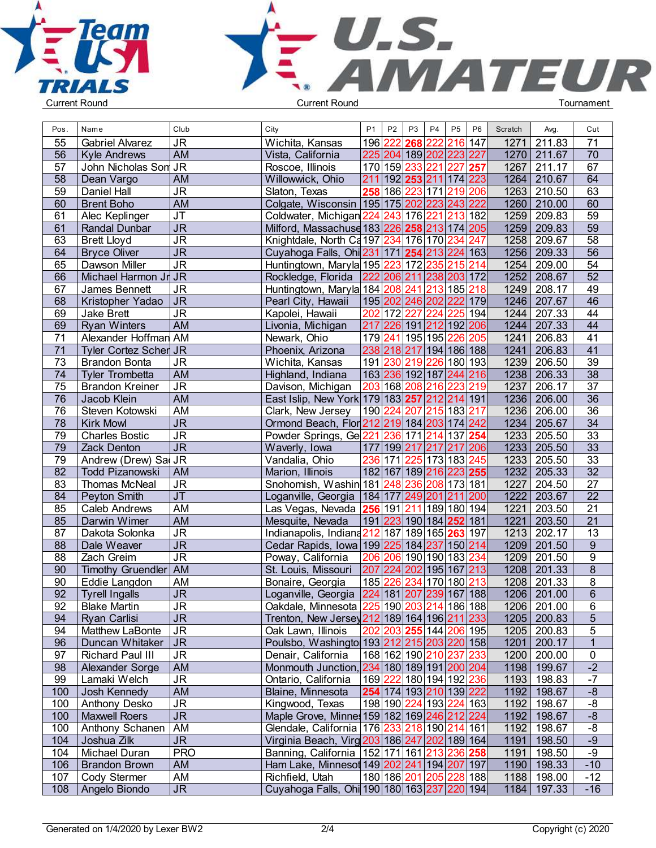



| Pos. | Name                         | Club                                | City                                                    | <b>P1</b>                                             | P <sub>2</sub> | P <sub>3</sub>          | P <sub>4</sub> | P <sub>5</sub> | P <sub>6</sub> | Scratch | Avg.        | Cut              |  |
|------|------------------------------|-------------------------------------|---------------------------------------------------------|-------------------------------------------------------|----------------|-------------------------|----------------|----------------|----------------|---------|-------------|------------------|--|
| 55   | <b>Gabriel Alvarez</b>       | <b>JR</b>                           | Wichita, Kansas                                         | 196                                                   | 222            | 268                     | 222            | 216            | 147            | 1271    | 211.83      | 71               |  |
| 56   | <b>Kyle Andrews</b>          | <b>AM</b>                           | Vista, California                                       | 225                                                   |                | 204 189 202 223         |                |                | 227            | 1270    | 211.67      | 70               |  |
| 57   | John Nicholas Son JR         |                                     | Roscoe, Illinois                                        |                                                       |                | 170 159 233 221 227     |                |                | 257            | 1267    | 211.17      | 67               |  |
| 58   | Dean Vargo                   | <b>AM</b>                           | Willowwick, Ohio                                        | 211 192 253 211 174 223                               |                |                         |                |                |                | 1264    | 210.67      | 64               |  |
| 59   | Daniel Hall                  | JR                                  | Slaton, Texas                                           |                                                       |                | 258 186 223 171 219     |                |                | 206            | 1263    | 210.50      | 63               |  |
| 60   | <b>Brent Boho</b>            | <b>AM</b>                           | Colgate, Wisconsin   195   175   202   223   243        |                                                       |                |                         |                |                | 222            | 1260    | 210.00      | 60               |  |
| 61   | Alec Keplinger               | JT                                  | Coldwater, Michigan 224 243 176 221 213                 |                                                       |                |                         |                |                | 182            | 1259    | 209.83      | 59               |  |
| 61   | <b>Randal Dunbar</b>         | <b>JR</b>                           | Milford, Massachuse 183 226 258 213 174 205             |                                                       |                |                         |                |                |                | 1259    | 209.83      | 59               |  |
| 63   | <b>Brett Lloyd</b>           | <b>JR</b>                           | Knightdale, North Ca 197 234 176 170 234 247            |                                                       |                |                         |                |                |                | 1258    | 209.67      | 58               |  |
| 64   | <b>Bryce Oliver</b>          | <b>JR</b>                           | Cuyahoga Falls, Ohi 231 171 254 213 224 163             |                                                       |                |                         |                |                |                | 1256    | 209.33      | 56               |  |
| 65   | Dawson Miller                | <b>JR</b>                           | Huntingtown, Maryla 195 223 172 235                     |                                                       |                |                         |                | 215            | 214            | 1254    | 209.00      | 54               |  |
| 66   | Michael Harmon Jr JR         |                                     | Rockledge, Florida                                      | 222 206 211 238 203 172                               |                |                         |                |                |                | 1252    | 208.67      | 52               |  |
| 67   | James Bennett                | <b>JR</b>                           | Huntingtown, Maryla 184 208 241 213 185 218             |                                                       |                |                         |                |                |                | 1249    | 208.17      | 49               |  |
| 68   | Kristopher Yadao             | $\overline{\overline{\mathsf{J}R}}$ | Pearl City, Hawaii                                      | 195 202 246 202                                       |                |                         |                | 222            | 179            | 1246    | 207.67      | 46               |  |
| 69   | Jake Brett                   | <b>JR</b>                           | Kapolei, Hawaii                                         | 202 172 227 224                                       |                |                         |                | 225            | 194            | 1244    | 207.33      | $\overline{44}$  |  |
| 69   | <b>Ryan Winters</b>          | <b>AM</b>                           |                                                         | 217 226                                               |                | 191                     | 212 192        |                | 206            | 1244    | 207.33      | 44               |  |
| 71   | Alexander Hoffman AM         |                                     | Livonia, Michigan<br>Newark, Ohio                       |                                                       |                | 179 241 195 195         |                | 226            | 205            | 1241    | 206.83      | 41               |  |
|      |                              |                                     |                                                         |                                                       |                |                         |                |                |                |         |             | 41               |  |
| 71   | <b>Tyler Cortez Scher JR</b> |                                     | Phoenix, Arizona                                        | 238 218 217 194 186 188                               |                |                         |                |                |                | 1241    | 206.83      | 39               |  |
| 73   | <b>Brandon Bonta</b>         | <b>JR</b>                           | Wichita, Kansas                                         |                                                       |                | 191 230 219 226 180 193 |                |                |                | 1239    | 206.50      |                  |  |
| 74   | <b>Tyler Trombetta</b>       | <b>AM</b>                           | Highland, Indiana                                       | 163  <mark>236</mark>  192 187  <mark>244</mark>  216 |                |                         |                |                |                | 1238    | 206.33      | 38               |  |
| 75   | <b>Brandon Kreiner</b>       | <b>JR</b>                           | Davison, Michigan                                       | 203 168 208 216                                       |                |                         |                | 223            | 219            | 1237    | 206.17      | 37               |  |
| 76   | Jacob Klein                  | <b>AM</b>                           | East Islip, New York 179 183 257 212 214 191            |                                                       |                |                         |                |                |                | 1236    | 206.00      | 36               |  |
| 76   | Steven Kotowski              | AM                                  | Clark, New Jersey                                       | 190 224                                               |                | 207 215 183 217         |                |                |                | 1236    | 206.00      | $\overline{36}$  |  |
| 78   | <b>Kirk Mowl</b>             | $\overline{\mathsf{J}\mathsf{R}}$   | Ormond Beach, Flor 212 219 184 203 174 242              |                                                       |                |                         |                |                |                | 1234    | 205.67      | $\overline{34}$  |  |
| 79   | <b>Charles Bostic</b>        | $\overline{\mathsf{J}\mathsf{R}}$   | Powder Springs, Ge 221 236 171 214 137 254              |                                                       |                |                         |                |                |                | 1233    | 205.50      | $\overline{33}$  |  |
| 79   | <b>Zack Denton</b>           | $\overline{\mathsf{J}\mathsf{R}}$   | Waverly, Iowa                                           | 177 199 217 217 217                                   |                |                         |                |                | 206            | 1233    | 205.50      | 33               |  |
| 79   | Andrew (Drew) Sal JR         |                                     | Vandalia, Ohio                                          |                                                       |                | 236 171 225 173 183 245 |                |                |                | 1233    | 205.50      | 33               |  |
| 82   | <b>Todd Pizanowski</b>       | AM                                  | Marion, Illinois                                        | 182 167 189  <mark>216 223 <b>255</b></mark>          |                |                         |                |                |                | 1232    | 205.33      | 32               |  |
| 83   | Thomas McNeal                | <b>JR</b>                           | Snohomish, Washin 181 248 236 208 173 181               |                                                       |                |                         |                |                |                | 1227    | 204.50      | $\overline{27}$  |  |
| 84   | Peyton Smith                 | <b>JT</b>                           | Loganville, Georgia   184   177   249   201   211       |                                                       |                |                         |                |                | 200            | 1222    | 203.67      | 22               |  |
| 85   | <b>Caleb Andrews</b>         | AM                                  |                                                         |                                                       |                |                         |                |                |                | 1221    | 203.50      | 21               |  |
| 85   | Darwin Wimer                 | <b>AM</b>                           | Mesquite, Nevada                                        | 191   223   190   184   <b>252</b>                    |                |                         |                |                | 181            | 1221    | 203.50      | 21               |  |
| 87   | Dakota Solonka               | <b>JR</b>                           | Indianapolis, Indiana212 187 189 165 263                |                                                       |                |                         |                |                | 197            | 1213    | 202.17      | $\overline{13}$  |  |
| 88   | Dale Weaver                  | <b>JR</b>                           | Cedar Rapids, Iowa 199 225 184 237 150 214              |                                                       |                |                         |                |                |                | 1209    | 201.50      | $\boldsymbol{9}$ |  |
| 88   | Zach Greim                   | $\overline{\mathsf{J}\mathsf{R}}$   | Poway, California                                       |                                                       |                | 206 206 190 190 183 234 |                |                |                | 1209    | 201.50      | $\overline{9}$   |  |
| 90   | Timothy Gruendler AM         |                                     | St. Louis, Missouri                                     | 207 224 202 195 167 213                               |                |                         |                |                |                | 1208    | 201.33      | $\overline{8}$   |  |
| 90   | Eddie Langdon                | AM                                  | Bonaire, Georgia                                        | 185                                                   |                | 226 234 170 180 213     |                |                |                | 1208    | 201.33      | 8                |  |
| 92   | <b>Tyrell Ingalls</b>        | <b>JR</b>                           | Loganville, Georgia   224   181   207   239   167   188 |                                                       |                |                         |                |                |                | 1206    | 201.00      | 6                |  |
| 92   | <b>Blake Martin</b>          | <b>JR</b>                           | Oakdale, Minnesota 225 190 203 214 186 188              |                                                       |                |                         |                |                |                |         | 1206 201.00 | 6                |  |
| 94   | <b>Ryan Carlisi</b>          | <b>JR</b>                           | Trenton, New Jersey 212 189 164 196 211 233             |                                                       |                |                         |                |                |                |         | 1205 200.83 | 5                |  |
| 94   | <b>Matthew LaBonte</b>       | <b>JR</b>                           | Oak Lawn, Illinois                                      | $ 202 203 $ <b>255</b> 144 206 195                    |                |                         |                |                |                |         | 1205 200.83 | 5                |  |
| 96   | Duncan Whitaker   JR         |                                     | Poulsbo, Washingto 193 212 215 203 220 158              |                                                       |                |                         |                |                |                | 1201    | 200.17      | $\mathbf{1}$     |  |
| 97   | <b>Richard Paul III</b>      | <b>JR</b>                           | Denair, California                                      | 168 162 190 210 237 233                               |                |                         |                |                |                |         | 1200 200.00 | 0                |  |
| 98   | Alexander Sorge              | <b>AM</b>                           | Monmouth Junction, 234 180 189 191 200 204              |                                                       |                |                         |                |                |                | 1198    | 199.67      | $-2$             |  |
| 99   | Lamaki Welch                 | <b>JR</b>                           | Ontario, California                                     | 169 222 180 194 192 236                               |                |                         |                |                |                | 1193    | 198.83      | $-7$             |  |
| 100  | Josh Kennedy                 | <b>AM</b>                           | Blaine, Minnesota                                       | 254 174 193 210 139 222                               |                |                         |                |                |                | 1192    | 198.67      | $-8$             |  |
| 100  | Anthony Desko                | <b>JR</b>                           | Kingwood, Texas                                         | 198 190 224 193 224 163                               |                |                         |                |                |                | 1192    | 198.67      | -8               |  |
| 100  | <b>Maxwell Roers</b>         | <b>JR</b>                           | Maple Grove, Minnes 159 182 169 246 212 224             |                                                       |                |                         |                |                |                | 1192    | 198.67      | $-8$             |  |
| 100  | Anthony Schanen   AM         |                                     | Glendale, California 176 233 218 190 214 161            |                                                       |                |                         |                |                |                | 1192    | 198.67      | $-8$             |  |
| 104  | Joshua Zilk                  | ${\sf JR}$                          | Virginia Beach, Virg 203 186 247 202 189 164            |                                                       |                |                         |                |                |                | 1191    | 198.50      | $-9$             |  |
| 104  | Michael Duran                | <b>PRO</b>                          | Banning, California   152   171   161   213   236   258 |                                                       |                |                         |                |                |                | 1191    | 198.50      | $-9$             |  |
| 106  | <b>Brandon Brown</b>         | AM                                  | Ham Lake, Minnesot 149 202 241 194 207 197              |                                                       |                |                         |                |                |                | 1190    | 198.33      | $-10$            |  |
| 107  | Cody Stermer                 | AM                                  | Richfield, Utah                                         | 180 186 201 205 228                                   |                |                         |                |                | 188            | 1188    | 198.00      | $-12$            |  |
| 108  | Angelo Biondo                | $\mathsf{JR}$                       | Cuyahoga Falls, Ohi 190 180 163 237 220 194             |                                                       |                |                         |                |                |                |         | 1184 197.33 | $-16$            |  |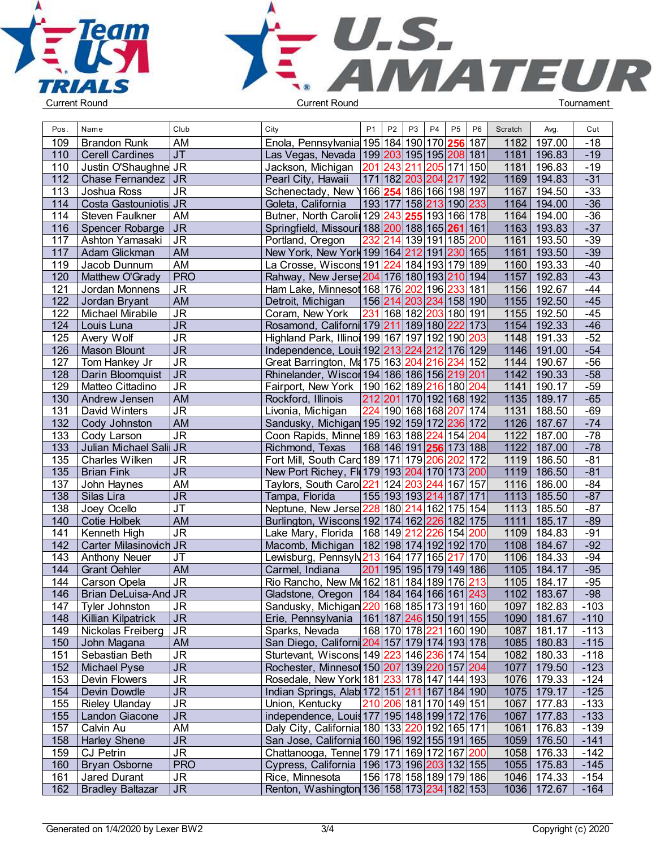



| Pos.       | Name                                   | Club                                           | City                                                                                       | P <sub>1</sub> | P <sub>2</sub> | P <sub>3</sub>                                     | P <sub>4</sub> | P <sub>5</sub> | P <sub>6</sub> | Scratch        | Avg.                  | Cut              |  |
|------------|----------------------------------------|------------------------------------------------|--------------------------------------------------------------------------------------------|----------------|----------------|----------------------------------------------------|----------------|----------------|----------------|----------------|-----------------------|------------------|--|
| 109        | <b>Brandon Runk</b>                    | AM                                             | Enola, Pennsylvania 195 184 190 170 256 187                                                |                |                |                                                    |                |                |                | 1182           | 197.00                | $-18$            |  |
| 110        | <b>Cerell Cardines</b>                 | J <sub>T</sub>                                 | Las Vegas, Nevada   199   203   195   195   208   181                                      |                |                |                                                    |                |                |                | 1181           | 196.83                | $-19$            |  |
| 110        | Justin O'Shaughne JR                   |                                                | Jackson, Michigan                                                                          |                |                | 201 243 211 205 171 150                            |                |                |                | 1181           | 196.83                | $-19$            |  |
| 112        | Chase Fernandez   JR                   |                                                | Pearl City, Hawaii                                                                         |                |                | 171 182 203 204 217 192                            |                |                |                | 1169           | 194.83                | $-31$            |  |
| 113        | Joshua Ross                            | <b>JR</b>                                      | Schenectady, New \166\254\186\166\198\197                                                  |                |                |                                                    |                |                |                | 1167           | 194.50                | $-33$            |  |
| 114        | Costa Gastouniotis JR                  |                                                | Goleta, California                                                                         |                |                | 193 177 158 213 190 233                            |                |                |                | 1164           | 194.00                | $-36$            |  |
| 114        | Steven Faulkner                        | AM                                             | Butner, North Carolin 129 243 255 193 166 178                                              |                |                |                                                    |                |                |                |                | 1164 194.00           | $-36$            |  |
| 116        | Spencer Robarge   JR                   |                                                | Springfield, Missouri 188 200 188 165 261 161                                              |                |                |                                                    |                |                |                | 1163           | 193.83                | $-37$            |  |
| 117        | Ashton Yamasaki                        | ∣JR                                            | Portland, Oregon                                                                           |                |                | 232 214 139 191 185 200                            |                |                |                | 1161           | 193.50                | $-39$            |  |
| 117        | Adam Glickman                          | AM                                             | New York, New York 199 164 212 191 230 165                                                 |                |                |                                                    |                |                |                | 1161           | 193.50                | $-39$            |  |
| 119        | Jacob Dunnum                           | AM                                             | La Crosse, Wiscons 191 224 184 193 179 189                                                 |                |                |                                                    |                |                |                | 1160           | 193.33                | $-40$            |  |
| 120        | Matthew O'Grady                        | <b>PRO</b>                                     | Rahway, New Jerse 204 176 180 193 210 194                                                  |                |                |                                                    |                |                |                | 1157           | 192.83                | $-43$            |  |
| 121        | Jordan Monnens                         | <b>JR</b>                                      | Ham Lake, Minnesot 168 176 202 196                                                         |                |                |                                                    |                | 233 181        |                | 1156           | 192.67                | $-44$            |  |
| 122        | Jordan Bryant                          | <b>AM</b>                                      | Detroit, Michigan                                                                          |                |                | 156 214 203 234 158 190                            |                |                |                | 1155           | 192.50                | $-45$            |  |
| 122        | Michael Mirabile                       | <b>JR</b>                                      | Coram, New York                                                                            |                |                | 231 168 182 203 180 191                            |                |                |                | 1155           | 192.50                | $-45$            |  |
| 124        | Louis Luna                             | $\overline{\mathsf{J}\mathsf{R}}$              | Rosamond, Californi 179 211 189 180 222 173                                                |                |                |                                                    |                |                |                | 1154           | 192.33                | $-46$            |  |
| 125        | Avery Wolf                             | $\overline{\mathsf{J}\mathsf{R}}$              | Highland Park, Illinoi 199 167 197 192 190 203                                             |                |                |                                                    |                |                |                |                | 1148 191.33           | $-52$            |  |
| 126        | <b>Mason Blount</b>                    | <b>JR</b>                                      | Independence, Louis 192 213 224 212 176 129                                                |                |                |                                                    |                |                |                |                | 1146 191.00           | $-54$            |  |
| 127        | Tom Hankey Jr                          | <b>JR</b>                                      | Great Barrington, Ma 175 163 204 216 234 152                                               |                |                |                                                    |                |                |                |                | 1144 190.67           | $-56$            |  |
| 128        | Darin Bloomquist                       | <b>JR</b>                                      | Rhinelander, Wiscor 194   186   186   156   219   201                                      |                |                |                                                    |                |                |                | 1142           | 190.33                | $-58$            |  |
|            | Matteo Cittadino                       |                                                |                                                                                            |                |                |                                                    |                |                |                |                |                       |                  |  |
| 129<br>130 |                                        | <b>JR</b><br><b>AM</b>                         | Fairport, New York   190   162   189   216   180   204                                     |                |                |                                                    |                |                |                | 1141           | 190.17<br>1135 189.17 | $-59$<br>$-65$   |  |
| 131        | Andrew Jensen<br>David Winters         | <b>JR</b>                                      | Rockford, Illinois<br>Livonia, Michigan                                                    |                |                | 212 201 170 192 168 192<br>224 190 168 168 207 174 |                |                |                | 1131           | 188.50                | $-69$            |  |
|            |                                        |                                                |                                                                                            |                |                |                                                    |                |                |                |                |                       | $-74$            |  |
| 132        | Cody Johnston                          | <b>AM</b><br>$\overline{\mathsf{J}\mathsf{R}}$ | Sandusky, Michigan 195 192 159 172 236 172                                                 |                |                |                                                    |                |                |                | 1126           | 187.67                | $-78$            |  |
| 133        | Cody Larson                            |                                                | Coon Rapids, Minne 189 163 188 224 154 204                                                 |                |                |                                                    |                |                |                | 1122<br>$1122$ | 187.00<br>187.00      | $-78$            |  |
| 133        | Julian Michael Sali JR                 |                                                | Richmond, Texas                                                                            |                |                | 168 146 191 <b>256</b> 173 188                     |                |                |                |                |                       | $-81$            |  |
| 135        | Charles Wilken                         | <b>JR</b><br>$\overline{\mathsf{J}\mathsf{R}}$ | Fort Mill, South Card 189 171 179 206 202 172                                              |                |                |                                                    |                |                |                | 1119           | 186.50                |                  |  |
| 135<br>137 | <b>Brian Fink</b>                      | <b>AM</b>                                      | New Port Richey, Fl(179 193 204 170 173 200                                                |                |                |                                                    |                |                |                | 1119<br>1116   | 186.50                | $-81$<br>$-84$   |  |
| 138        | John Haynes<br>Silas Lira              | <b>JR</b>                                      | Taylors, South Caro 221 124 203 244 167 157<br>Tampa, Florida                              |                |                | 155 193 193 214 187 171                            |                |                |                | 1113           | 186.00<br>185.50      | $-87$            |  |
| 138        | Joey Ocello                            | <b>JT</b>                                      | Neptune, New Jerse 228 180 214 162 175 154                                                 |                |                |                                                    |                |                |                | 1113           | 185.50                | $-87$            |  |
| 140        | <b>Cotie Holbek</b>                    | <b>AM</b>                                      |                                                                                            |                |                |                                                    |                |                |                | 1111           | 185.17                | $-89$            |  |
|            |                                        | <b>JR</b>                                      | Burlington, Wiscons 192 174 162 226 182 175                                                |                |                |                                                    |                |                |                |                |                       | $-91$            |  |
| 141<br>142 | Kenneth High<br>Carter Milasinovich JR |                                                | Lake Mary, Florida                                                                         | 168 149 212    |                |                                                    | 226            | 154            | 200            | 1109           | 184.83<br>184.67      | $-92$            |  |
|            |                                        |                                                | Macomb, Michigan                                                                           |                |                | 182 198 174 192 192 170                            |                |                |                | 1108           | 184.33                | $-94$            |  |
| 143        | <b>Anthony Neuer</b>                   | <b>JT</b>                                      | Lewisburg, Pennsyl 213 164 177 165 217                                                     |                |                |                                                    |                |                | 170            | 1106           |                       |                  |  |
| 144        | <b>Grant Oehler</b>                    | <b>AM</b>                                      | Carmel, Indiana                                                                            |                |                | 201 195 195 179 149 186                            |                |                |                | 1105           | 184.17                | $-95$            |  |
| 144        | Carson Opela                           | $\overline{\mathsf{J}\mathsf{R}}$              | Rio Rancho, New Me 162 181 184 189 176 213                                                 |                |                |                                                    |                |                |                | 1105           | 184.17                | $-95$            |  |
| 146        | Brian DeLuisa-And JR                   |                                                | Gladstone, Oregon   184   184   164   166   161   243                                      |                |                |                                                    |                |                |                | 1102           | 183.67                | $-98$            |  |
| 147        | Tyler Johnston                         | <b>JR</b>                                      | Sandusky, Michigan 220 168 185 173 191 160                                                 |                |                |                                                    |                |                |                |                | 1097 182.83           | $-103$           |  |
| 148        | Killian Kilpatrick                     | <b>JR</b>                                      | Erie, Pennsylvania   161   187   246   150   191   155                                     |                |                |                                                    |                |                |                |                | 1090 181.67           | $-110$           |  |
| 149        | Nickolas Freiberg                      | JR                                             | Sparks, Nevada                                                                             |                |                | 168 170 178 221 160 190                            |                |                |                |                | 1087 181.17           | $-113$           |  |
| 150        | John Magana                            | AM                                             | San Diego, Californi 204 157 179 174 193 178                                               |                |                |                                                    |                |                |                |                | 1085 180.83           | $-115$           |  |
| 151        | Sebastian Beth                         | <b>JR</b><br>$\overline{\mathsf{J}\mathsf{R}}$ | Sturtevant, Wiscons 149 223 146 236 174 154                                                |                |                |                                                    |                |                |                |                | 1082 180.33           | $-118$<br>$-123$ |  |
| 152        | <b>Michael Pyse</b>                    |                                                | Rochester, Minnesot 150 207 139 220 157 204                                                |                |                |                                                    |                |                |                |                | 1077 179.50           |                  |  |
| 153        | Devin Flowers                          | <b>JR</b><br>$\overline{\mathsf{J}\mathsf{R}}$ | Rosedale, New York 181 233 178 147 144 193<br>Indian Springs, Alab 172 151 211 167 184 190 |                |                |                                                    |                |                |                |                | 1076 179.33           | $-124$<br>$-125$ |  |
| 154        | Devin Dowdle                           |                                                |                                                                                            |                |                | 210 206 181 170 149 151                            |                |                |                |                | 1075 179.17           |                  |  |
| 155        | <b>Rieley Ulanday</b>                  | <b>JR</b>                                      | Union, Kentucky                                                                            |                |                |                                                    |                |                |                |                | 1067 177.83           | $-133$           |  |
| 155        | Landon Giacone                         | <b>JR</b>                                      | independence, Louis 177 195 148 199 172 176                                                |                |                |                                                    |                |                |                |                | 1067 177.83           | $-133$           |  |
| 157        | Calvin Au                              | AM                                             | Daly City, California 180 133 220 192 165 171                                              |                |                |                                                    |                |                |                |                | 1061 176.83           | $-139$           |  |
| 158        | <b>Harley Shene</b>                    | <b>JR</b>                                      | San Jose, California 160 196 192 155 191 165                                               |                |                |                                                    |                |                |                |                | 1059 176.50           | $-141$           |  |
| 159        | <b>CJ Petrin</b>                       | <b>JR</b>                                      | Chattanooga, Tenne 179 171 169 172 167 200                                                 |                |                |                                                    |                |                |                |                | 1058 176.33           | $-142$           |  |
| 160        | <b>Bryan Osborne</b>                   | <b>PRO</b>                                     | Cypress, California   196   173   196   203   132   155                                    |                |                |                                                    |                |                |                |                | 1055 175.83           | $-145$           |  |
| 161        | Jared Durant                           | <b>JR</b>                                      | Rice, Minnesota                                                                            |                |                | 156 178 158 189 179 186                            |                |                |                |                | 1046 174.33           | $-154$           |  |
| 162        | <b>Bradley Baltazar</b>                | J <sub>R</sub>                                 | Renton, Washington 136 158 173 234 182 153                                                 |                |                |                                                    |                |                |                |                | 1036 172.67           | $-164$           |  |